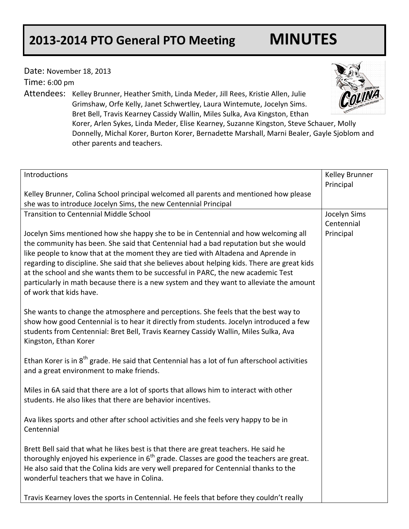## **2013-2014 PTO General PTO Meeting MINUTES**

other parents and teachers.

Date: November 18, 2013

Time: 6:00 pm

Attendees: Kelley Brunner, Heather Smith, Linda Meder, Jill Rees, Kristie Allen, Julie Grimshaw, Orfe Kelly, Janet Schwertley, Laura Wintemute, Jocelyn Sims. Bret Bell, Travis Kearney Cassidy Wallin, Miles Sulka, Ava Kingston, Ethan Korer, Arlen Sykes, Linda Meder, Elise Kearney, Suzanne Kingston, Steve Schauer, Molly Donnelly, Michal Korer, Burton Korer, Bernadette Marshall, Marni Bealer, Gayle Sjoblom and

| Introductions                                                                                                                                                                                                                                                                                                                                                                                                                                                                                                                                                             | Kelley Brunner<br>Principal |
|---------------------------------------------------------------------------------------------------------------------------------------------------------------------------------------------------------------------------------------------------------------------------------------------------------------------------------------------------------------------------------------------------------------------------------------------------------------------------------------------------------------------------------------------------------------------------|-----------------------------|
| Kelley Brunner, Colina School principal welcomed all parents and mentioned how please<br>she was to introduce Jocelyn Sims, the new Centennial Principal                                                                                                                                                                                                                                                                                                                                                                                                                  |                             |
| <b>Transition to Centennial Middle School</b>                                                                                                                                                                                                                                                                                                                                                                                                                                                                                                                             | Jocelyn Sims                |
| Jocelyn Sims mentioned how she happy she to be in Centennial and how welcoming all<br>the community has been. She said that Centennial had a bad reputation but she would<br>like people to know that at the moment they are tied with Altadena and Aprende in<br>regarding to discipline. She said that she believes about helping kids. There are great kids<br>at the school and she wants them to be successful in PARC, the new academic Test<br>particularly in math because there is a new system and they want to alleviate the amount<br>of work that kids have. | Centennial<br>Principal     |
| She wants to change the atmosphere and perceptions. She feels that the best way to<br>show how good Centennial is to hear it directly from students. Jocelyn introduced a few<br>students from Centennial: Bret Bell, Travis Kearney Cassidy Wallin, Miles Sulka, Ava<br>Kingston, Ethan Korer                                                                                                                                                                                                                                                                            |                             |
| Ethan Korer is in 8 <sup>th</sup> grade. He said that Centennial has a lot of fun afterschool activities<br>and a great environment to make friends.                                                                                                                                                                                                                                                                                                                                                                                                                      |                             |
| Miles in 6A said that there are a lot of sports that allows him to interact with other<br>students. He also likes that there are behavior incentives.                                                                                                                                                                                                                                                                                                                                                                                                                     |                             |
| Ava likes sports and other after school activities and she feels very happy to be in<br>Centennial                                                                                                                                                                                                                                                                                                                                                                                                                                                                        |                             |
| Brett Bell said that what he likes best is that there are great teachers. He said he<br>thoroughly enjoyed his experience in $6th$ grade. Classes are good the teachers are great.<br>He also said that the Colina kids are very well prepared for Centennial thanks to the<br>wonderful teachers that we have in Colina.                                                                                                                                                                                                                                                 |                             |
| Travis Kearney loves the sports in Centennial. He feels that before they couldn't really                                                                                                                                                                                                                                                                                                                                                                                                                                                                                  |                             |

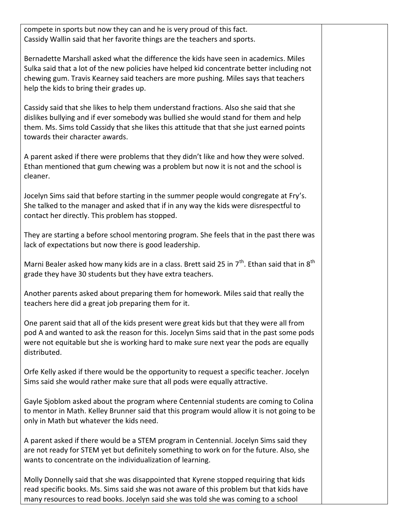compete in sports but now they can and he is very proud of this fact. Cassidy Wallin said that her favorite things are the teachers and sports.

Bernadette Marshall asked what the difference the kids have seen in academics. Miles Sulka said that a lot of the new policies have helped kid concentrate better including not chewing gum. Travis Kearney said teachers are more pushing. Miles says that teachers help the kids to bring their grades up.

Cassidy said that she likes to help them understand fractions. Also she said that she dislikes bullying and if ever somebody was bullied she would stand for them and help them. Ms. Sims told Cassidy that she likes this attitude that that she just earned points towards their character awards.

A parent asked if there were problems that they didn't like and how they were solved. Ethan mentioned that gum chewing was a problem but now it is not and the school is cleaner.

Jocelyn Sims said that before starting in the summer people would congregate at Fry's. She talked to the manager and asked that if in any way the kids were disrespectful to contact her directly. This problem has stopped.

They are starting a before school mentoring program. She feels that in the past there was lack of expectations but now there is good leadership.

Marni Bealer asked how many kids are in a class. Brett said 25 in  $7<sup>th</sup>$ . Ethan said that in  $8<sup>th</sup>$ grade they have 30 students but they have extra teachers.

Another parents asked about preparing them for homework. Miles said that really the teachers here did a great job preparing them for it.

One parent said that all of the kids present were great kids but that they were all from pod A and wanted to ask the reason for this. Jocelyn Sims said that in the past some pods were not equitable but she is working hard to make sure next year the pods are equally distributed.

Orfe Kelly asked if there would be the opportunity to request a specific teacher. Jocelyn Sims said she would rather make sure that all pods were equally attractive.

Gayle Sjoblom asked about the program where Centennial students are coming to Colina to mentor in Math. Kelley Brunner said that this program would allow it is not going to be only in Math but whatever the kids need.

A parent asked if there would be a STEM program in Centennial. Jocelyn Sims said they are not ready for STEM yet but definitely something to work on for the future. Also, she wants to concentrate on the individualization of learning.

Molly Donnelly said that she was disappointed that Kyrene stopped requiring that kids read specific books. Ms. Sims said she was not aware of this problem but that kids have many resources to read books. Jocelyn said she was told she was coming to a school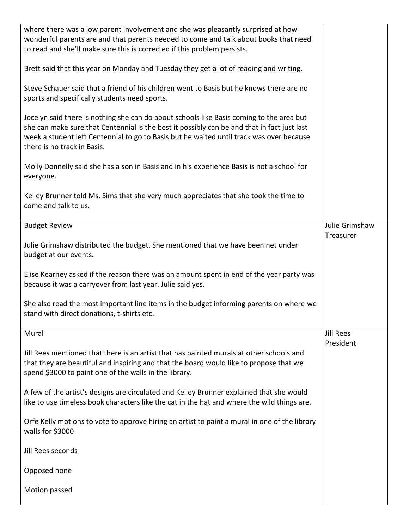| where there was a low parent involvement and she was pleasantly surprised at how<br>wonderful parents are and that parents needed to come and talk about books that need<br>to read and she'll make sure this is corrected if this problem persists.                                                               |                             |
|--------------------------------------------------------------------------------------------------------------------------------------------------------------------------------------------------------------------------------------------------------------------------------------------------------------------|-----------------------------|
| Brett said that this year on Monday and Tuesday they get a lot of reading and writing.                                                                                                                                                                                                                             |                             |
| Steve Schauer said that a friend of his children went to Basis but he knows there are no<br>sports and specifically students need sports.                                                                                                                                                                          |                             |
| Jocelyn said there is nothing she can do about schools like Basis coming to the area but<br>she can make sure that Centennial is the best it possibly can be and that in fact just last<br>week a student left Centennial to go to Basis but he waited until track was over because<br>there is no track in Basis. |                             |
| Molly Donnelly said she has a son in Basis and in his experience Basis is not a school for<br>everyone.                                                                                                                                                                                                            |                             |
| Kelley Brunner told Ms. Sims that she very much appreciates that she took the time to<br>come and talk to us.                                                                                                                                                                                                      |                             |
| <b>Budget Review</b>                                                                                                                                                                                                                                                                                               | Julie Grimshaw<br>Treasurer |
| Julie Grimshaw distributed the budget. She mentioned that we have been net under<br>budget at our events.                                                                                                                                                                                                          |                             |
| Elise Kearney asked if the reason there was an amount spent in end of the year party was<br>because it was a carryover from last year. Julie said yes.                                                                                                                                                             |                             |
| She also read the most important line items in the budget informing parents on where we<br>stand with direct donations, t-shirts etc.                                                                                                                                                                              |                             |
| Mural                                                                                                                                                                                                                                                                                                              | <b>Jill Rees</b>            |
| Jill Rees mentioned that there is an artist that has painted murals at other schools and<br>that they are beautiful and inspiring and that the board would like to propose that we<br>spend \$3000 to paint one of the walls in the library.                                                                       | President                   |
| A few of the artist's designs are circulated and Kelley Brunner explained that she would<br>like to use timeless book characters like the cat in the hat and where the wild things are.                                                                                                                            |                             |
| Orfe Kelly motions to vote to approve hiring an artist to paint a mural in one of the library<br>walls for \$3000                                                                                                                                                                                                  |                             |
| Jill Rees seconds                                                                                                                                                                                                                                                                                                  |                             |
| Opposed none                                                                                                                                                                                                                                                                                                       |                             |
|                                                                                                                                                                                                                                                                                                                    |                             |